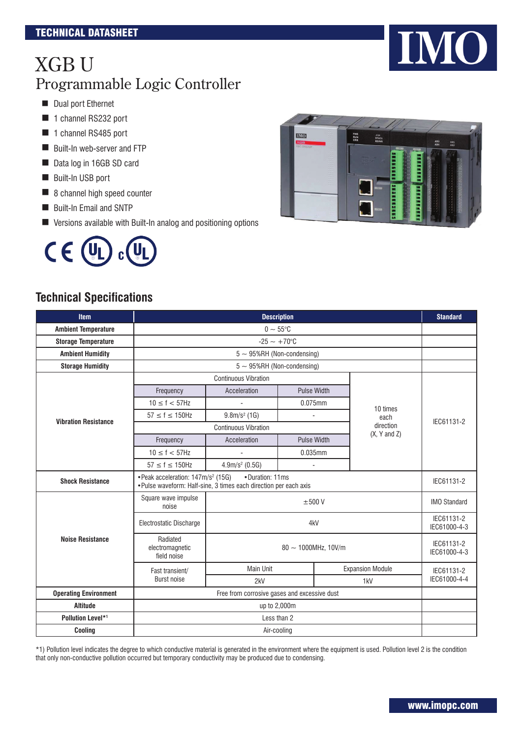- **Dual port Ethernet**
- 1 channel RS232 port
- 1 channel RS485 port
- Built-In web-server and FTP
- Data log in 16GB SD card
- Built-In USB port
- 8 channel high speed counter
- Built-In Email and SNTP
- Versions available with Built-In analog and positioning options



# **IMO** PWR<br>RUN<br>ERR STATE<br>STATE  $\frac{AX}{AY}$

#### **Technical Specifications**

| <b>Item</b>                  | <b>Description</b>                                                                                                  |                                   |                                              |                         |                            |  |
|------------------------------|---------------------------------------------------------------------------------------------------------------------|-----------------------------------|----------------------------------------------|-------------------------|----------------------------|--|
| <b>Ambient Temperature</b>   |                                                                                                                     | $0\sim 55^{\circ}$ C              |                                              |                         |                            |  |
| <b>Storage Temperature</b>   |                                                                                                                     | $-25 - +70$ °C                    |                                              |                         |                            |  |
| <b>Ambient Humidity</b>      |                                                                                                                     | $5 \sim 95\%$ RH (Non-condensing) |                                              |                         |                            |  |
| <b>Storage Humidity</b>      |                                                                                                                     | $5 \sim 95\%$ RH (Non-condensing) |                                              |                         |                            |  |
|                              |                                                                                                                     | <b>Continuous Vibration</b>       |                                              |                         |                            |  |
|                              | Frequency                                                                                                           | Acceleration                      | <b>Pulse Width</b>                           |                         |                            |  |
|                              | $10 \le f < 57$ Hz                                                                                                  |                                   | 0.075mm                                      | 10 times                |                            |  |
| <b>Vibration Resistance</b>  | $57 \le f \le 150$ Hz                                                                                               | $9.8m/s2$ (1G)                    | $\overline{\phantom{a}}$                     | each                    | IEC61131-2                 |  |
|                              |                                                                                                                     | <b>Continuous Vibration</b>       |                                              | direction               |                            |  |
|                              | Frequency                                                                                                           | Acceleration                      | <b>Pulse Width</b>                           | $(X, Y \text{ and } Z)$ |                            |  |
|                              | $10 \le f < 57$ Hz                                                                                                  | ä,                                | 0.035mm                                      |                         |                            |  |
|                              | $57 \le f \le 150$ Hz                                                                                               | $4.9m/s2$ (0.5G)                  | ä,                                           |                         |                            |  |
| <b>Shock Resistance</b>      | • Peak acceleration: 147m/s <sup>2</sup> (15G)<br>. Pulse waveform: Half-sine, 3 times each direction per each axis | IEC61131-2                        |                                              |                         |                            |  |
|                              | Square wave impulse<br>noise                                                                                        | $\pm 500$ V                       |                                              |                         |                            |  |
|                              | Electrostatic Discharge                                                                                             |                                   | IEC61131-2<br>IEC61000-4-3                   |                         |                            |  |
| <b>Noise Resistance</b>      | Radiated<br>electromagnetic<br>field noise                                                                          | $80 \sim 1000$ MHz, 10V/m         |                                              |                         | IEC61131-2<br>IEC61000-4-3 |  |
|                              | Fast transient/                                                                                                     | <b>Main Unit</b>                  |                                              | <b>Expansion Module</b> | IEC61131-2                 |  |
|                              | <b>Burst noise</b>                                                                                                  | 2kV                               |                                              | 1 <sub>kV</sub>         |                            |  |
| <b>Operating Environment</b> |                                                                                                                     |                                   | Free from corrosive gases and excessive dust |                         |                            |  |
| <b>Altitude</b>              |                                                                                                                     | up to 2,000m                      |                                              |                         |                            |  |
| <b>Pollution Level*1</b>     |                                                                                                                     |                                   | Less than 2                                  |                         |                            |  |
| Cooling                      |                                                                                                                     | Air-cooling                       |                                              |                         |                            |  |

\*1) Pollution level indicates the degree to which conductive material is generated in the environment where the equipment is used. Pollution level 2 is the condition that only non-conductive pollution occurred but temporary conductivity may be produced due to condensing.

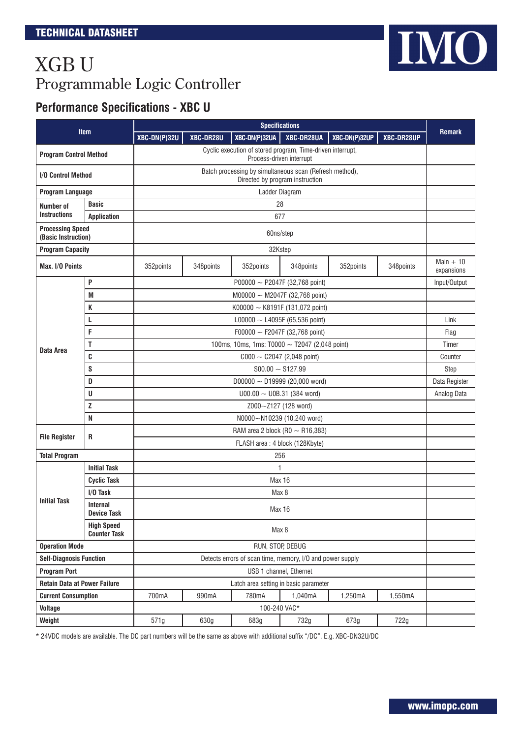### **Performance Specifications - XBC U**

| <b>Item</b>                                    |                                                                                                                         |                                                    |                       |                                                           | <b>Specifications</b>                |               |            |                          |  |
|------------------------------------------------|-------------------------------------------------------------------------------------------------------------------------|----------------------------------------------------|-----------------------|-----------------------------------------------------------|--------------------------------------|---------------|------------|--------------------------|--|
|                                                |                                                                                                                         |                                                    | XBC-DR28U             | XBC-DN(P)32UA                                             | XBC-DR28UA                           | XBC-DN(P)32UP | XBC-DR28UP | <b>Remark</b>            |  |
|                                                | Cyclic execution of stored program, Time-driven interrupt,<br><b>Program Control Method</b><br>Process-driven interrupt |                                                    |                       |                                                           |                                      |               |            |                          |  |
| <b>I/O Control Method</b>                      |                                                                                                                         |                                                    |                       | Batch processing by simultaneous scan (Refresh method),   | Directed by program instruction      |               |            |                          |  |
| Program Language                               |                                                                                                                         |                                                    |                       |                                                           | Ladder Diagram                       |               |            |                          |  |
| Number of                                      | <b>Basic</b>                                                                                                            |                                                    |                       |                                                           | 28                                   |               |            |                          |  |
| <b>Instructions</b>                            | <b>Application</b>                                                                                                      |                                                    | 677                   |                                                           |                                      |               |            |                          |  |
| <b>Processing Speed</b><br>(Basic Instruction) |                                                                                                                         |                                                    |                       |                                                           | 60ns/step                            |               |            |                          |  |
| <b>Program Capacity</b>                        |                                                                                                                         |                                                    |                       |                                                           | 32Kstep                              |               |            |                          |  |
| Max. I/O Points                                |                                                                                                                         | 352points                                          | 348points             | 352points                                                 | 348points                            | 352points     | 348points  | Main $+10$<br>expansions |  |
|                                                | P                                                                                                                       |                                                    |                       |                                                           | P00000 $\sim$ P2047F (32,768 point)  |               |            | Input/Output             |  |
|                                                | M                                                                                                                       |                                                    |                       |                                                           | M00000 $\sim$ M2047F (32,768 point)  |               |            |                          |  |
|                                                | K                                                                                                                       |                                                    |                       |                                                           | K00000 $\sim$ K8191F (131,072 point) |               |            |                          |  |
|                                                | L                                                                                                                       |                                                    |                       |                                                           | L00000 $\sim$ L4095F (65,536 point)  |               |            | Link                     |  |
|                                                | F                                                                                                                       | F00000 $\sim$ F2047F (32,768 point)                |                       |                                                           |                                      |               |            | Flag                     |  |
|                                                | Т                                                                                                                       | 100ms, 10ms, 1ms: T0000 $\sim$ T2047 (2,048 point) |                       |                                                           |                                      |               |            | Timer                    |  |
| Data Area                                      | C                                                                                                                       | $C000 \sim C2047$ (2,048 point)                    |                       |                                                           |                                      |               | Counter    |                          |  |
|                                                | S                                                                                                                       |                                                    | $$00.00 \sim $127.99$ |                                                           |                                      |               |            | Step                     |  |
|                                                | D                                                                                                                       |                                                    |                       |                                                           | $D00000 - D19999$ (20,000 word)      |               |            | Data Register            |  |
|                                                | U                                                                                                                       |                                                    |                       |                                                           | $U00.00 \sim U0B.31$ (384 word)      |               |            | Analog Data              |  |
|                                                | Z                                                                                                                       |                                                    | Z000~Z127 (128 word)  |                                                           |                                      |               |            |                          |  |
|                                                | N                                                                                                                       | N0000~N10239 (10,240 word)                         |                       |                                                           |                                      |               |            |                          |  |
| <b>File Register</b>                           | R                                                                                                                       | RAM area 2 block (R0 $\sim$ R16,383)               |                       |                                                           |                                      |               |            |                          |  |
|                                                |                                                                                                                         |                                                    |                       |                                                           | FLASH area: 4 block (128Kbyte)       |               |            |                          |  |
| <b>Total Program</b>                           |                                                                                                                         |                                                    |                       |                                                           | 256                                  |               |            |                          |  |
|                                                | <b>Initial Task</b>                                                                                                     |                                                    |                       |                                                           | 1                                    |               |            |                          |  |
|                                                | <b>Cyclic Task</b>                                                                                                      |                                                    |                       |                                                           | Max 16                               |               |            |                          |  |
|                                                | I/O Task                                                                                                                | Max 8                                              |                       |                                                           |                                      |               |            |                          |  |
| <b>Initial Task</b>                            | <b>Internal</b><br><b>Device Task</b>                                                                                   |                                                    |                       |                                                           | Max 16                               |               |            |                          |  |
|                                                | <b>High Speed</b><br><b>Counter Task</b>                                                                                | Max 8                                              |                       |                                                           |                                      |               |            |                          |  |
|                                                | <b>Operation Mode</b>                                                                                                   |                                                    | RUN, STOP, DEBUG      |                                                           |                                      |               |            |                          |  |
| <b>Self-Diagnosis Function</b>                 |                                                                                                                         |                                                    |                       | Detects errors of scan time, memory, I/O and power supply |                                      |               |            |                          |  |
| <b>Program Port</b>                            |                                                                                                                         |                                                    |                       |                                                           | USB 1 channel, Ethernet              |               |            |                          |  |
| <b>Retain Data at Power Failure</b>            |                                                                                                                         |                                                    |                       | Latch area setting in basic parameter                     |                                      |               |            |                          |  |
| <b>Current Consumption</b>                     |                                                                                                                         | 700mA                                              | 990mA                 | 780mA                                                     | 1,040mA                              | 1,250mA       | 1,550mA    |                          |  |
| <b>Voltage</b>                                 |                                                                                                                         |                                                    |                       |                                                           | 100-240 VAC*                         |               |            |                          |  |
| Weight                                         |                                                                                                                         | 571g                                               | 630g                  | 683g                                                      | 732g                                 | 673g          | 722g       |                          |  |

\* 24VDC models are available. The DC part numbers will be the same as above with additional suffix "/DC". E.g. XBC-DN32U/DC

IMO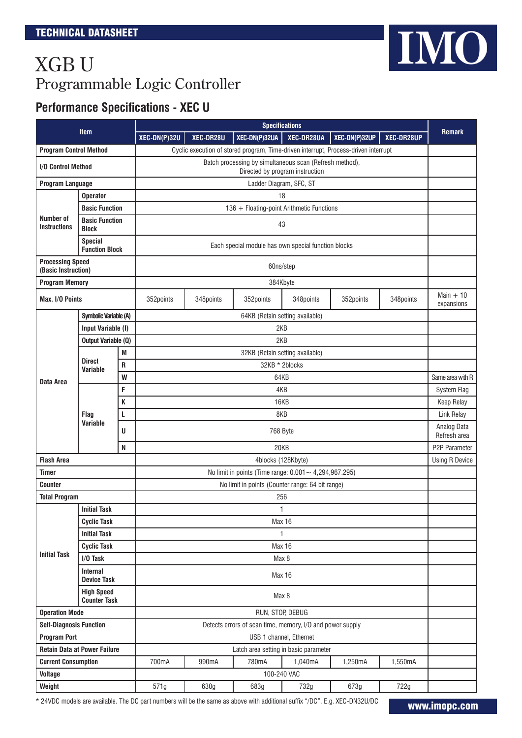### **Performance Specifications - XEC U**

| <b>Item</b>                                    |                                         | <b>Specifications</b>                                                                      |                                                           |           |                                                                                     |                         | <b>Remark</b> |               |                           |
|------------------------------------------------|-----------------------------------------|--------------------------------------------------------------------------------------------|-----------------------------------------------------------|-----------|-------------------------------------------------------------------------------------|-------------------------|---------------|---------------|---------------------------|
|                                                |                                         |                                                                                            | XEC-DN(P)32U                                              | XEC-DR28U | XEC-DN(P)32UA                                                                       | XEC-DR28UA              | XEC-DN(P)32UP | XEC-DR28UP    |                           |
| <b>Program Control Method</b>                  |                                         |                                                                                            |                                                           |           | Cyclic execution of stored program, Time-driven interrupt, Process-driven interrupt |                         |               |               |                           |
| <b>I/O Control Method</b>                      |                                         | Batch processing by simultaneous scan (Refresh method),<br>Directed by program instruction |                                                           |           |                                                                                     |                         |               |               |                           |
| <b>Program Language</b>                        |                                         |                                                                                            |                                                           |           | Ladder Diagram, SFC, ST                                                             |                         |               |               |                           |
|                                                | <b>Operator</b>                         |                                                                                            |                                                           |           |                                                                                     | 18                      |               |               |                           |
|                                                | <b>Basic Function</b>                   |                                                                                            |                                                           |           | 136 + Floating-point Arithmetic Functions                                           |                         |               |               |                           |
| Number of<br><b>Instructions</b>               | <b>Basic Function</b><br><b>Block</b>   |                                                                                            |                                                           |           |                                                                                     | 43                      |               |               |                           |
|                                                | <b>Special</b><br><b>Function Block</b> |                                                                                            |                                                           |           | Each special module has own special function blocks                                 |                         |               |               |                           |
| <b>Processing Speed</b><br>(Basic Instruction) |                                         |                                                                                            |                                                           |           | 60ns/step                                                                           |                         |               |               |                           |
| <b>Program Memory</b>                          |                                         |                                                                                            |                                                           |           | 384Kbyte                                                                            |                         |               |               |                           |
| Max. I/O Points                                |                                         |                                                                                            | 352points                                                 | 348points | 352points                                                                           | 348points               | 352points     | 348points     | Main $+10$<br>expansions  |
|                                                | Symbolic Variable (A)                   |                                                                                            |                                                           |           | 64KB (Retain setting available)                                                     |                         |               |               |                           |
|                                                | Input Variable (I)                      |                                                                                            |                                                           |           | 2KB                                                                                 |                         |               |               |                           |
|                                                | <b>Output Variable (Q)</b>              |                                                                                            |                                                           |           | 2KB                                                                                 |                         |               |               |                           |
|                                                | Direct                                  | M                                                                                          |                                                           |           | 32KB (Retain setting available)                                                     |                         |               |               |                           |
|                                                | Variable                                | R                                                                                          |                                                           |           | 32KB * 2blocks                                                                      |                         |               |               | Same area with R          |
| Data Area                                      |                                         | W                                                                                          |                                                           | 64KB      |                                                                                     |                         |               |               |                           |
|                                                | Flaq<br>Variable                        | F                                                                                          | 4KB                                                       |           |                                                                                     |                         |               |               | System Flag<br>Keep Relay |
|                                                |                                         | K                                                                                          |                                                           | 16KB      |                                                                                     |                         |               |               |                           |
|                                                |                                         | L                                                                                          |                                                           | 8KB       |                                                                                     |                         |               |               |                           |
|                                                |                                         | U                                                                                          |                                                           | 768 Byte  |                                                                                     |                         |               |               |                           |
| N                                              |                                         | 20KB                                                                                       |                                                           |           |                                                                                     |                         |               | P2P Parameter |                           |
| <b>Flash Area</b>                              |                                         |                                                                                            | 4blocks (128Kbyte)                                        |           |                                                                                     |                         |               |               | <b>Using R Device</b>     |
| Timer                                          |                                         |                                                                                            | No limit in points (Time range: $0.001 - 4,294,967.295$ ) |           |                                                                                     |                         |               |               |                           |
| <b>Counter</b>                                 |                                         |                                                                                            | No limit in points (Counter range: 64 bit range)          |           |                                                                                     |                         |               |               |                           |
| <b>Total Program</b>                           |                                         |                                                                                            | 256<br>1                                                  |           |                                                                                     |                         |               |               |                           |
|                                                | <b>Initial Task</b>                     |                                                                                            |                                                           |           |                                                                                     |                         |               |               |                           |
|                                                | <b>Cyclic Task</b>                      |                                                                                            |                                                           | Max 16    |                                                                                     |                         |               |               |                           |
|                                                | <b>Initial Task</b>                     |                                                                                            | $\mathbf{1}$                                              |           |                                                                                     |                         |               |               |                           |
| <b>Initial Task</b>                            | <b>Cyclic Task</b><br>I/O Task          |                                                                                            | Max 16<br>Max 8                                           |           |                                                                                     |                         |               |               |                           |
|                                                | <b>Internal</b>                         |                                                                                            |                                                           |           |                                                                                     |                         |               |               |                           |
|                                                | <b>Device Task</b><br><b>High Speed</b> |                                                                                            | <b>Max 16</b>                                             |           |                                                                                     |                         |               |               |                           |
|                                                | <b>Counter Task</b>                     |                                                                                            | Max 8                                                     |           |                                                                                     |                         |               |               |                           |
| <b>Operation Mode</b>                          |                                         |                                                                                            | RUN, STOP, DEBUG                                          |           |                                                                                     |                         |               |               |                           |
| <b>Self-Diagnosis Function</b>                 |                                         |                                                                                            |                                                           |           | Detects errors of scan time, memory, I/O and power supply                           |                         |               |               |                           |
| <b>Program Port</b>                            |                                         |                                                                                            |                                                           |           |                                                                                     | USB 1 channel, Ethernet |               |               |                           |
|                                                | <b>Retain Data at Power Failure</b>     |                                                                                            |                                                           |           | Latch area setting in basic parameter                                               |                         |               |               |                           |
| <b>Current Consumption</b>                     |                                         |                                                                                            | 700mA                                                     | 990mA     | 780mA                                                                               | 1,040mA                 | 1,250mA       | 1,550mA       |                           |
| <b>Voltage</b>                                 |                                         |                                                                                            |                                                           |           |                                                                                     | 100-240 VAC             |               |               |                           |
| Weight                                         |                                         |                                                                                            | 571g                                                      | 630g      | 683g                                                                                | 732g                    | 673g          | 722g          |                           |

\* 24VDC models are available. The DC part numbers will be the same as above with additional suffix "/DC". E.g. XEC-DN32U/DC

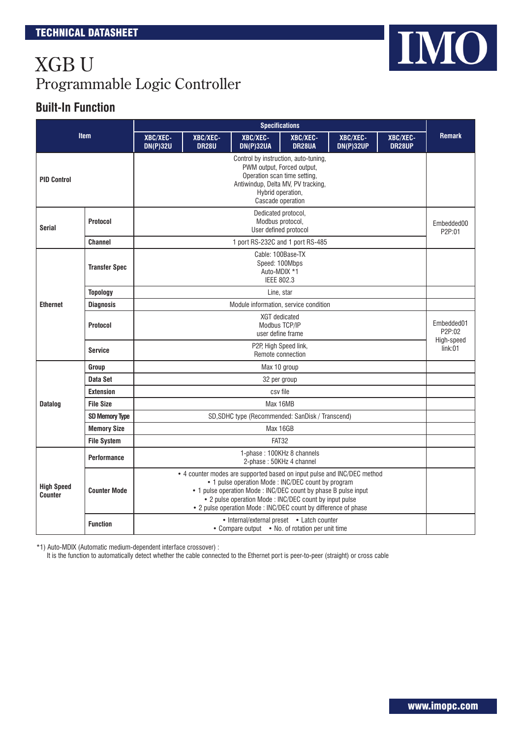#### **Built-In Function**

|                                     |                       | <b>Specifications</b>                                                                                                                                                                                                                                                                                                         |                                                                                                                                                                                    |                              |                                                                          |                              |                    |                       |
|-------------------------------------|-----------------------|-------------------------------------------------------------------------------------------------------------------------------------------------------------------------------------------------------------------------------------------------------------------------------------------------------------------------------|------------------------------------------------------------------------------------------------------------------------------------------------------------------------------------|------------------------------|--------------------------------------------------------------------------|------------------------------|--------------------|-----------------------|
|                                     | <b>Item</b>           | XBC/XEC-<br><b>DN(P)32U</b>                                                                                                                                                                                                                                                                                                   | XBC/XEC-<br><b>DR28U</b>                                                                                                                                                           | XBC/XEC-<br><b>DN(P)32UA</b> | XBC/XEC-<br>DR28UA                                                       | XBC/XEC-<br><b>DN(P)32UP</b> | XBC/XEC-<br>DR28UP | <b>Remark</b>         |
| <b>PID Control</b>                  |                       |                                                                                                                                                                                                                                                                                                                               | Control by instruction, auto-tuning,<br>PWM output, Forced output,<br>Operation scan time setting,<br>Antiwindup, Delta MV, PV tracking,<br>Hybrid operation,<br>Cascade operation |                              |                                                                          |                              |                    |                       |
| Protocol<br><b>Serial</b>           |                       |                                                                                                                                                                                                                                                                                                                               | Dedicated protocol,<br>Modbus protocol,<br>User defined protocol                                                                                                                   |                              |                                                                          |                              |                    |                       |
|                                     | <b>Channel</b>        |                                                                                                                                                                                                                                                                                                                               |                                                                                                                                                                                    |                              | 1 port RS-232C and 1 port RS-485                                         |                              |                    |                       |
| <b>Transfer Spec</b>                |                       |                                                                                                                                                                                                                                                                                                                               |                                                                                                                                                                                    |                              | Cable: 100Base-TX<br>Speed: 100Mbps<br>Auto-MDIX *1<br><b>IEEE 802.3</b> |                              |                    |                       |
|                                     | <b>Topology</b>       | Line, star                                                                                                                                                                                                                                                                                                                    |                                                                                                                                                                                    |                              |                                                                          |                              |                    |                       |
| <b>Ethernet</b>                     | <b>Diagnosis</b>      | Module information, service condition                                                                                                                                                                                                                                                                                         |                                                                                                                                                                                    |                              |                                                                          |                              |                    |                       |
|                                     | <b>Protocol</b>       | <b>XGT</b> dedicated<br>Modbus TCP/IP<br>user define frame                                                                                                                                                                                                                                                                    |                                                                                                                                                                                    |                              |                                                                          |                              |                    | Embedded01<br>P2P:02  |
|                                     | <b>Service</b>        | P2P, High Speed link,<br>Remote connection                                                                                                                                                                                                                                                                                    |                                                                                                                                                                                    |                              |                                                                          |                              |                    | High-speed<br>link:01 |
|                                     | Group                 | Max 10 group                                                                                                                                                                                                                                                                                                                  |                                                                                                                                                                                    |                              |                                                                          |                              |                    |                       |
|                                     | Data Set              | 32 per group                                                                                                                                                                                                                                                                                                                  |                                                                                                                                                                                    |                              |                                                                          |                              |                    |                       |
|                                     | <b>Extension</b>      | csy file                                                                                                                                                                                                                                                                                                                      |                                                                                                                                                                                    |                              |                                                                          |                              |                    |                       |
| <b>Datalog</b>                      | <b>File Size</b>      | Max 16MB                                                                                                                                                                                                                                                                                                                      |                                                                                                                                                                                    |                              |                                                                          |                              |                    |                       |
|                                     | <b>SD Memory Type</b> | SD, SDHC type (Recommended: SanDisk / Transcend)                                                                                                                                                                                                                                                                              |                                                                                                                                                                                    |                              |                                                                          |                              |                    |                       |
|                                     | <b>Memory Size</b>    | Max 16GB                                                                                                                                                                                                                                                                                                                      |                                                                                                                                                                                    |                              |                                                                          |                              |                    |                       |
|                                     | <b>File System</b>    | FAT32                                                                                                                                                                                                                                                                                                                         |                                                                                                                                                                                    |                              |                                                                          |                              |                    |                       |
|                                     | <b>Performance</b>    | 1-phase: 100KHz 8 channels<br>2-phase: 50KHz 4 channel                                                                                                                                                                                                                                                                        |                                                                                                                                                                                    |                              |                                                                          |                              |                    |                       |
| <b>High Speed</b><br><b>Counter</b> | <b>Counter Mode</b>   | • 4 counter modes are supported based on input pulse and INC/DEC method<br>• 1 pulse operation Mode: INC/DEC count by program<br>• 1 pulse operation Mode: INC/DEC count by phase B pulse input<br>• 2 pulse operation Mode : INC/DEC count by input pulse<br>• 2 pulse operation Mode : INC/DEC count by difference of phase |                                                                                                                                                                                    |                              |                                                                          |                              |                    |                       |
|                                     | <b>Function</b>       | • Internal/external preset • Latch counter<br>• Compare output • No. of rotation per unit time                                                                                                                                                                                                                                |                                                                                                                                                                                    |                              |                                                                          |                              |                    |                       |

\*1) Auto-MDIX (Automatic medium-dependent interface crossover) :

It is the function to automatically detect whether the cable connected to the Ethernet port is peer-to-peer (straight) or cross cable

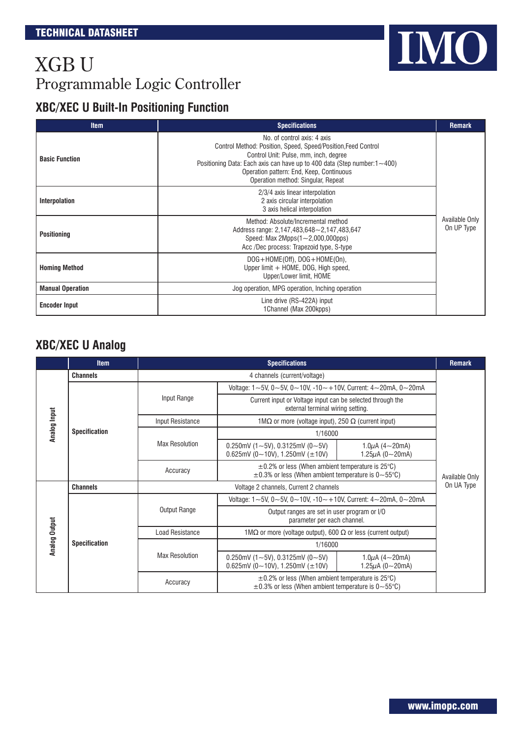### **XBC/XEC U Built-In Positioning Function**

| <b>Item</b>             | <b>Specifications</b>                                                                                                                                                                                                                                                                                       | <b>Remark</b>                |
|-------------------------|-------------------------------------------------------------------------------------------------------------------------------------------------------------------------------------------------------------------------------------------------------------------------------------------------------------|------------------------------|
| <b>Basic Function</b>   | No. of control axis: 4 axis<br>Control Method: Position, Speed, Speed/Position, Feed Control<br>Control Unit: Pulse, mm, inch, degree<br>Positioning Data: Each axis can have up to 400 data (Step number: $1 \sim 400$ )<br>Operation pattern: End, Keep, Continuous<br>Operation method: Singular, Repeat |                              |
| <b>Interpolation</b>    | 2/3/4 axis linear interpolation<br>2 axis circular interpolation<br>3 axis helical interpolation                                                                                                                                                                                                            |                              |
| <b>Positioning</b>      | Method: Absolute/Incremental method<br>Address range: 2,147,483,648~2,147,483,647<br>Speed: Max 2Mpps $(1\sim 2,000,000$ pps)<br>Acc /Dec process: Trapezoid type, S-type                                                                                                                                   | Available Only<br>On UP Type |
| <b>Homing Method</b>    | $DOG + HOME(Off)$ , $DOG + HOME(On)$ ,<br>Upper limit + HOME, DOG, High speed,<br>Upper/Lower limit, HOME                                                                                                                                                                                                   |                              |
| <b>Manual Operation</b> | Jog operation, MPG operation, Inching operation                                                                                                                                                                                                                                                             |                              |
| <b>Encoder Input</b>    | Line drive (RS-422A) input<br>1Channel (Max 200kpps)                                                                                                                                                                                                                                                        |                              |

### **XBC/XEC U Analog**

|               | <b>Item</b>          | <b>Specifications</b>  |                                                                                                                            |                                               |                                               |  |  |
|---------------|----------------------|------------------------|----------------------------------------------------------------------------------------------------------------------------|-----------------------------------------------|-----------------------------------------------|--|--|
|               | <b>Channels</b>      |                        | 4 channels (current/voltage)                                                                                               |                                               |                                               |  |  |
|               |                      |                        | Voltage: $1 \sim 5$ V, $0 \sim 5$ V, $0 \sim 10$ V, $-10 \sim +10$ V, Current: $4 \sim 20$ mA, $0 \sim 20$ mA              |                                               |                                               |  |  |
|               |                      | Input Range            | Current input or Voltage input can be selected through the<br>external terminal wiring setting.                            |                                               | <b>Remark</b><br>Available Only<br>On UA Type |  |  |
| Analog Input  |                      | Input Resistance       | 1M $\Omega$ or more (voltage input), 250 $\Omega$ (current input)                                                          |                                               |                                               |  |  |
|               | <b>Specification</b> |                        | 1/16000                                                                                                                    |                                               |                                               |  |  |
|               |                      | <b>Max Resolution</b>  | 0.250mV (1~5V), 0.3125mV (0~5V)<br>0.625mV (0~10V), 1.250mV ( $\pm$ 10V)                                                   | 1.0 $\mu$ A (4~20mA)<br>1.25 $\mu$ A (0~20mA) |                                               |  |  |
|               |                      | Accuracy               | $\pm$ 0.2% or less (When ambient temperature is 25°C)<br>$\pm$ 0.3% or less (When ambient temperature is 0~55 $\degree$ C) |                                               |                                               |  |  |
|               | <b>Channels</b>      |                        | Voltage 2 channels, Current 2 channels                                                                                     |                                               |                                               |  |  |
|               |                      | Output Range           | Voltage: $1 - 5V$ , $0 - 5V$ , $0 - 10V$ , $-10 - 10V$ , Current: $4 - 20mA$ , $0 - 20mA$                                  |                                               |                                               |  |  |
|               |                      |                        | Output ranges are set in user program or I/O<br>parameter per each channel.                                                |                                               |                                               |  |  |
|               |                      | <b>Load Resistance</b> | 1M $\Omega$ or more (voltage output), 600 $\Omega$ or less (current output)                                                |                                               |                                               |  |  |
| Analog Output | <b>Specification</b> | <b>Max Resolution</b>  | 1/16000                                                                                                                    |                                               |                                               |  |  |
|               |                      |                        | 0.250mV (1~5V), 0.3125mV (0~5V)<br>0.625mV (0~10V), 1.250mV ( $\pm$ 10V)                                                   | 1.0 $\mu$ A (4~20mA)<br>1.25 $\mu$ A (0~20mA) |                                               |  |  |
|               |                      | Accuracy               | $\pm$ 0.2% or less (When ambient temperature is 25°C)<br>$\pm$ 0.3% or less (When ambient temperature is 0~55°C)           |                                               |                                               |  |  |

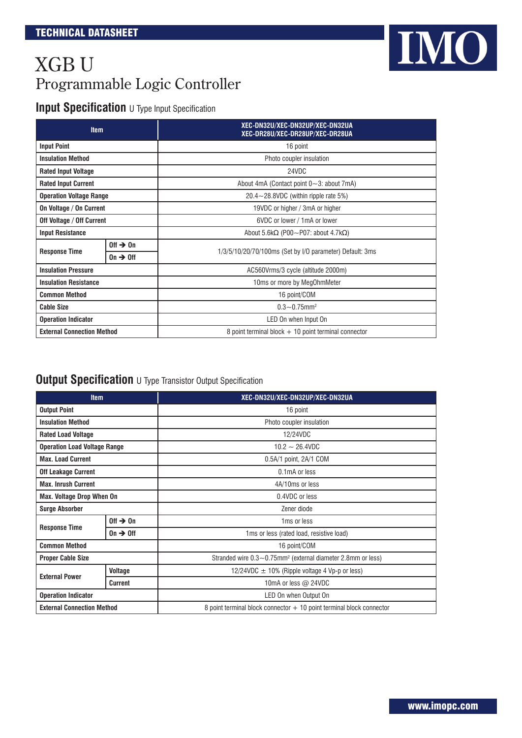### **Input Specification U** Type Input Specification

| <b>Item</b>                       |                       | XEC-DN32U/XEC-DN32UP/XEC-DN32UA<br>XEC-DR28U/XEC-DR28UP/XEC-DR28UA |  |  |  |
|-----------------------------------|-----------------------|--------------------------------------------------------------------|--|--|--|
| <b>Input Point</b>                |                       | 16 point                                                           |  |  |  |
| <b>Insulation Method</b>          |                       | Photo coupler insulation                                           |  |  |  |
| <b>Rated Input Voltage</b>        |                       | 24VDC                                                              |  |  |  |
| <b>Rated Input Current</b>        |                       | About 4mA (Contact point $0 \sim 3$ : about 7mA)                   |  |  |  |
| <b>Operation Voltage Range</b>    |                       | $20.4 - 28.8$ VDC (within ripple rate 5%)                          |  |  |  |
| On Voltage / On Current           |                       | 19VDC or higher / 3mA or higher                                    |  |  |  |
| Off Voltage / Off Current         |                       | 6VDC or lower / 1mA or lower                                       |  |  |  |
| <b>Input Resistance</b>           |                       | About 5.6k $\Omega$ (P00~P07: about 4.7k $\Omega$ )                |  |  |  |
|                                   | Off $\rightarrow$ On  |                                                                    |  |  |  |
| <b>Response Time</b>              | $0n \rightarrow 0$ ff | 1/3/5/10/20/70/100ms (Set by I/O parameter) Default: 3ms           |  |  |  |
| <b>Insulation Pressure</b>        |                       | AC560Vrms/3 cycle (altitude 2000m)                                 |  |  |  |
| <b>Insulation Resistance</b>      |                       | 10ms or more by MegOhmMeter                                        |  |  |  |
| <b>Common Method</b>              |                       | 16 point/COM                                                       |  |  |  |
| <b>Cable Size</b>                 |                       | $0.3 - 0.75$ mm <sup>2</sup>                                       |  |  |  |
| <b>Operation Indicator</b>        |                       | LED On when Input On                                               |  |  |  |
| <b>External Connection Method</b> |                       | 8 point terminal block $+10$ point terminal connector              |  |  |  |

#### **Output Specification** U Type Transistor Output Specification

| <b>Item</b>                         |                       | XEC-DN32U/XEC-DN32UP/XEC-DN32UA                                         |  |  |  |
|-------------------------------------|-----------------------|-------------------------------------------------------------------------|--|--|--|
| <b>Output Point</b>                 |                       | 16 point                                                                |  |  |  |
| <b>Insulation Method</b>            |                       | Photo coupler insulation                                                |  |  |  |
| <b>Rated Load Voltage</b>           |                       | 12/24VDC                                                                |  |  |  |
| <b>Operation Load Voltage Range</b> |                       | $10.2 - 26.4$ VDC                                                       |  |  |  |
| <b>Max. Load Current</b>            |                       | $0.5A/1$ point, $2A/1$ COM                                              |  |  |  |
| <b>Off Leakage Current</b>          |                       | 0.1mA or less                                                           |  |  |  |
| <b>Max. Inrush Current</b>          |                       | 4A/10ms or less                                                         |  |  |  |
| <b>Max. Voltage Drop When On</b>    |                       | 0.4VDC or less                                                          |  |  |  |
| <b>Surge Absorber</b>               |                       | Zener diode                                                             |  |  |  |
| <b>Response Time</b>                | Off $\rightarrow$ On  | 1 <sub>ms</sub> or less                                                 |  |  |  |
|                                     | $0n \rightarrow 0$ ff | 1ms or less (rated load, resistive load)                                |  |  |  |
| <b>Common Method</b>                |                       | 16 point/COM                                                            |  |  |  |
| <b>Proper Cable Size</b>            |                       | Stranded wire 0.3~0.75mm <sup>2</sup> (external diameter 2.8mm or less) |  |  |  |
| <b>External Power</b>               | Voltage               | 12/24VDC $\pm$ 10% (Ripple voltage 4 Vp-p or less)                      |  |  |  |
|                                     | <b>Current</b>        | 10mA or less $@$ 24VDC                                                  |  |  |  |
| <b>Operation Indicator</b>          |                       | LED On when Output On                                                   |  |  |  |
| <b>External Connection Method</b>   |                       | 8 point terminal block connector + 10 point terminal block connector    |  |  |  |

IMO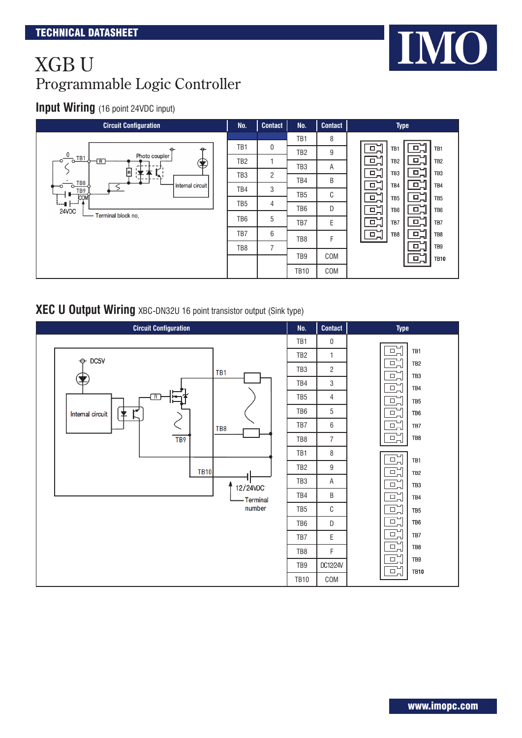#### **Input Wiring** (16 point 24VDC input)



#### **XEC U Output Wiring** XBC-DN32U 16 point transistor output (Sink type)